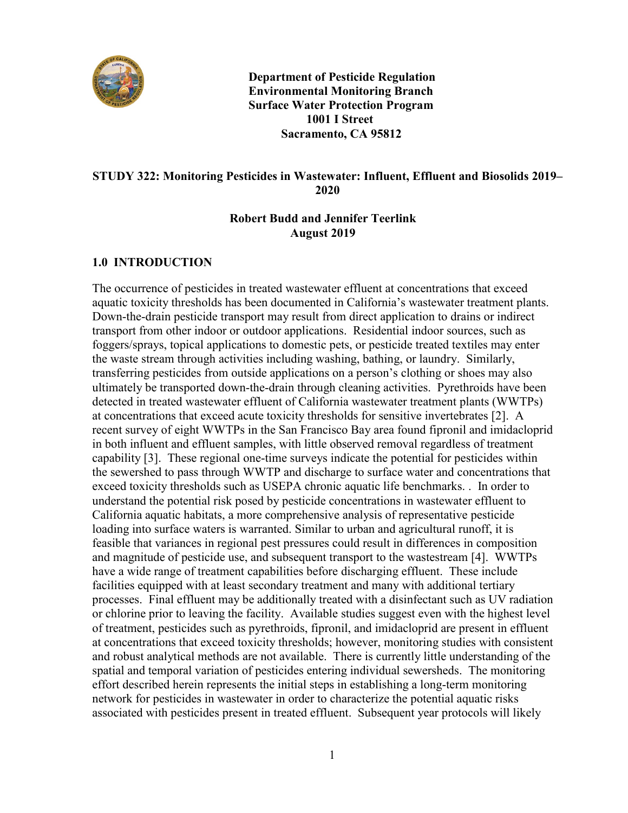

 **Department of Pesticide Regulation Environmental Monitoring Branch Surface Water Protection Program 1001 I Street Sacramento, CA 95812** 

#### **STUDY 322: Monitoring Pesticides in Wastewater: Influent, Effluent and Biosolids 2019– 2020**

### **Robert Budd and Jennifer Teerlink August 2019**

## **1.0 INTRODUCTION**

 transferring pesticides from outside applications on a person's clothing or shoes may also or chlorine prior to leaving the facility. Available studies suggest even with the highest level and robust analytical methods are not available. There is currently little understanding of the The occurrence of pesticides in treated wastewater effluent at concentrations that exceed aquatic toxicity thresholds has been documented in California's wastewater treatment plants. Down-the-drain pesticide transport may result from direct application to drains or indirect transport from other indoor or outdoor applications. Residential indoor sources, such as foggers/sprays, topical applications to domestic pets, or pesticide treated textiles may enter the waste stream through activities including washing, bathing, or laundry. Similarly, ultimately be transported down-the-drain through cleaning activities. Pyrethroids have been detected in treated wastewater effluent of California wastewater treatment plants (WWTPs) at concentrations that exceed acute toxicity thresholds for sensitive invertebrates [\[2\]](#page-6-0). A recent survey of eight WWTPs in the San Francisco Bay area found fipronil and imidacloprid in both influent and effluent samples, with little observed removal regardless of treatment capability [3]. These regional one-time surveys indicate the potential for pesticides within the sewershed to pass through WWTP and discharge to surface water and concentrations that exceed toxicity thresholds such as USEPA chronic aquatic life benchmarks. . In order to understand the potential risk posed by pesticide concentrations in wastewater effluent to California aquatic habitats, a more comprehensive analysis of representative pesticide loading into surface waters is warranted. Similar to urban and agricultural runoff, it is feasible that variances in regional pest pressures could result in differences in composition and magnitude of pesticide use, and subsequent transport to the wastestream [4]. WWTPs have a wide range of treatment capabilities before discharging effluent. These include facilities equipped with at least secondary treatment and many with additional tertiary processes. Final effluent may be additionally treated with a disinfectant such as UV radiation of treatment, pesticides such as pyrethroids, fipronil, and imidacloprid are present in effluent at concentrations that exceed toxicity thresholds; however, monitoring studies with consistent spatial and temporal variation of pesticides entering individual sewersheds. The monitoring effort described herein represents the initial steps in establishing a long-term monitoring network for pesticides in wastewater in order to characterize the potential aquatic risks associated with pesticides present in treated effluent. Subsequent year protocols will likely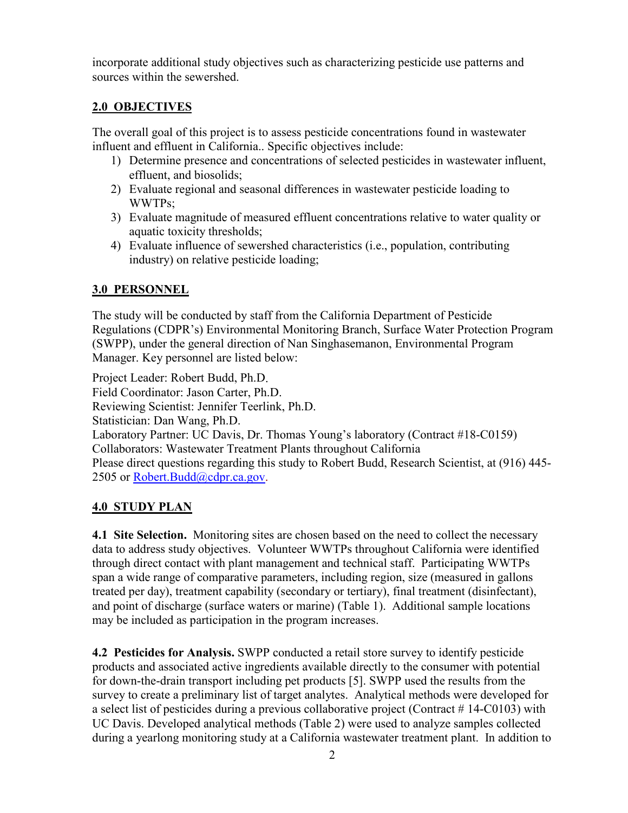incorporate additional study objectives such as characterizing pesticide use patterns and sources within the sewershed.

# **2.0 OBJECTIVES**

The overall goal of this project is to assess pesticide concentrations found in wastewater influent and effluent in California.. Specific objectives include:

- 1) Determine presence and concentrations of selected pesticides in wastewater influent, effluent, and biosolids;
- 2) Evaluate regional and seasonal differences in wastewater pesticide loading to WWTPs;
- 3) Evaluate magnitude of measured effluent concentrations relative to water quality or aquatic toxicity thresholds;
- 4) Evaluate influence of sewershed characteristics (i.e., population, contributing industry) on relative pesticide loading;

# **3.0 PERSONNEL**

The study will be conducted by staff from the California Department of Pesticide Regulations (CDPR's) Environmental Monitoring Branch, Surface Water Protection Program (SWPP), under the general direction of Nan Singhasemanon, Environmental Program Manager. Key personnel are listed below:

Project Leader: Robert Budd, Ph.D. Field Coordinator: Jason Carter, Ph.D. Reviewing Scientist: Jennifer Teerlink, Ph.D. Statistician: Dan Wang, Ph.D. Laboratory Partner: UC Davis, Dr. Thomas Young's laboratory (Contract #18-C0159) Collaborators: Wastewater Treatment Plants throughout California Please direct questions regarding this study to Robert Budd, Research Scientist, at (916) 445- 2505 or [Robert.Budd@cdpr.ca.gov.](mailto:Robert.Budd@cdpr.ca.gov)

# **4.0 STUDY PLAN**

 **4.1 Site Selection.** Monitoring sites are chosen based on the need to collect the necessary data to address study objectives. Volunteer WWTPs throughout California were identified through direct contact with plant management and technical staff. Participating WWTPs span a wide range of comparative parameters, including region, size (measured in gallons treated per day), treatment capability (secondary or tertiary), final treatment (disinfectant), and point of discharge (surface waters or marine) (Table 1). Additional sample locations may be included as participation in the program increases.

**4.2 Pesticides for Analysis.**  SWPP conducted a retail store survey to identify pesticide products and associated active ingredients available directly to the consumer with potential for down-the-drain transport including pet products [5]. SWPP used the results from the survey to create a preliminary list of target analytes. Analytical methods were developed for a select list of pesticides during a previous collaborative project (Contract # 14-C0103) with UC Davis. Developed analytical methods (Table 2) were used to analyze samples collected during a yearlong monitoring study at a California wastewater treatment plant. In addition to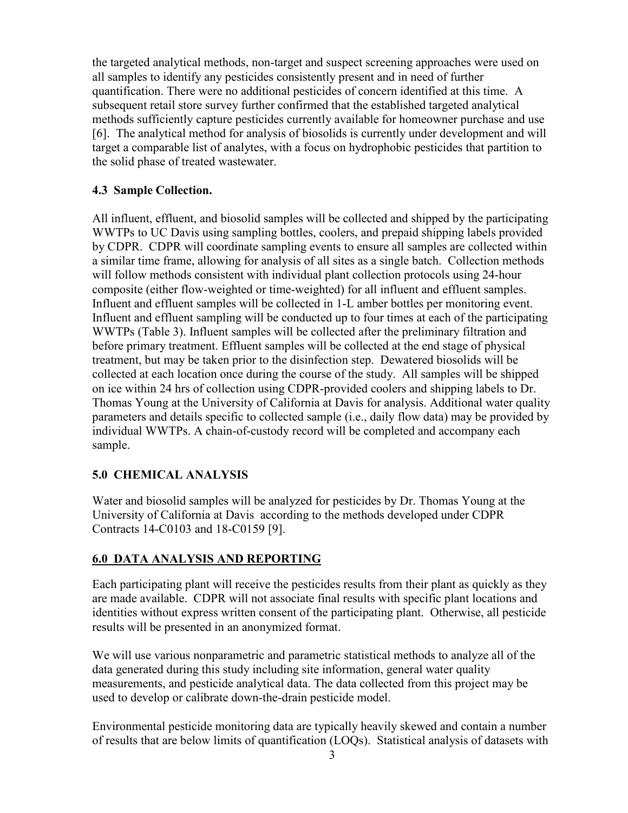the targeted analytical methods, non-target and suspect screening approaches were used on all samples to identify any pesticides consistently present and in need of further quantification. There were no additional pesticides of concern identified at this time. A subsequent retail store survey further confirmed that the established targeted analytical methods sufficiently capture pesticides currently available for homeowner purchase and use [\[6\]](#page-6-4). The analytical method for analysis of biosolids is currently under development and will target a comparable list of analytes, with a focus on hydrophobic pesticides that partition to the solid phase of treated wastewater.

#### **4.3 Sample Collection.**

 a similar time frame, allowing for analysis of all sites as a single batch. Collection methods Thomas Young at the University of California at Davis for analysis. Additional water quality individual WWTPs. A chain-of-custody record will be completed and accompany each sample. All influent, effluent, and biosolid samples will be collected and shipped by the participating WWTPs to UC Davis using sampling bottles, coolers, and prepaid shipping labels provided by CDPR. CDPR will coordinate sampling events to ensure all samples are collected within will follow methods consistent with individual plant collection protocols using 24-hour composite (either flow-weighted or time-weighted) for all influent and effluent samples. Influent and effluent samples will be collected in 1-L amber bottles per monitoring event. Influent and effluent sampling will be conducted up to four times at each of the participating WWTPs (Table 3). Influent samples will be collected after the preliminary filtration and before primary treatment. Effluent samples will be collected at the end stage of physical treatment, but may be taken prior to the disinfection step. Dewatered biosolids will be collected at each location once during the course of the study. All samples will be shipped on ice within 24 hrs of collection using CDPR-provided coolers and shipping labels to Dr. parameters and details specific to collected sample (i.e., daily flow data) may be provided by

## **5.0 CHEMICAL ANALYSIS**

 Water and biosolid samples will be analyzed for pesticides by Dr. Thomas Young at the University of California at Davis according to the methods developed under CDPR Contracts 14-C0103 and 18-C0159 [\[9\]](#page-6-5).

## **6.0 DATA ANALYSIS AND REPORTING**

 are made available. CDPR will not associate final results with specific plant locations and results will be presented in an anonymized format. Each participating plant will receive the pesticides results from their plant as quickly as they identities without express written consent of the participating plant. Otherwise, all pesticide

results will be presented in an anonymized format.<br>We will use various nonparametric and parametric statistical methods to analyze all of the data generated during this study including site information, general water quality measurements, and pesticide analytical data. The data collected from this project may be used to develop or calibrate down-the-drain pesticide model.

 Environmental pesticide monitoring data are typically heavily skewed and contain a number of results that are below limits of quantification (LOQs). Statistical analysis of datasets with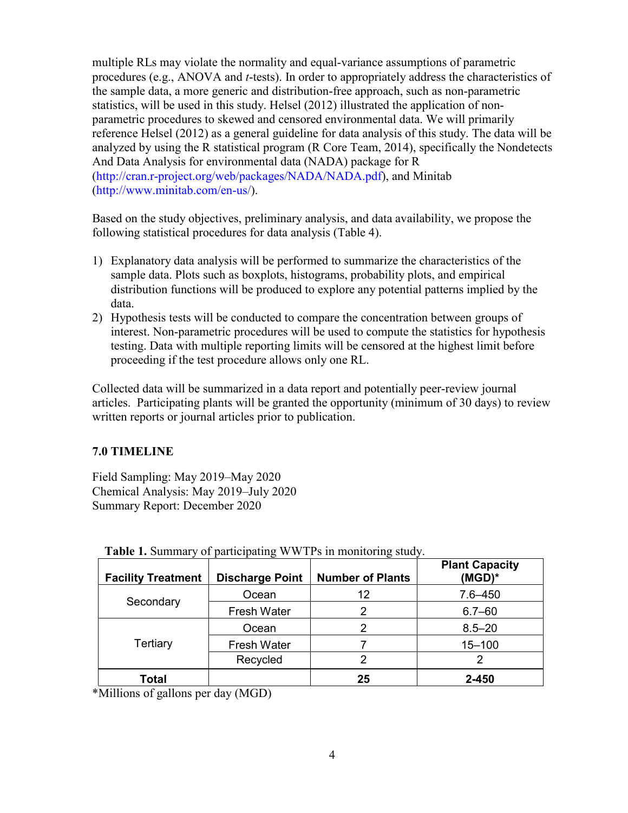multiple RLs may violate the normality and equal-variance assumptions of parametric procedures (e.g., ANOVA and *t*-tests). In order to appropriately address the characteristics of the sample data, a more generic and distribution-free approach, such as non-parametric statistics, will be used in this study. Helsel (2012) illustrated the application of nonparametric procedures to skewed and censored environmental data. We will primarily reference Helsel (2012) as a general guideline for data analysis of this study. The data will be analyzed by using the R statistical program [\(R](http://www.r-project.org/) Core Team, 2014), specifically the Nondetects And Data Analysis for environmental data (NADA) package for R [\(http://cran.r-project.org/web/packages/NADA/NADA.pdf\)](http://cran.r-project.org/web/packages/NADA/NADA.pdf), and Minitab [\(http://www.minitab.com/en-us](http://www.minitab.com/en-us)/).

 following statistical procedures for data analysis (Table 4). Based on the study objectives, preliminary analysis, and data availability, we propose the

- 1) Explanatory data analysis will be performed to summarize the characteristics of the sample data. Plots such as boxplots, histograms, probability plots, and empirical distribution functions will be produced to explore any potential patterns implied by the data.
- 2) Hypothesis tests will be conducted to compare the concentration between groups of interest. Non-parametric procedures will be used to compute the statistics for hypothesis testing. Data with multiple reporting limits will be censored at the highest limit before proceeding if the test procedure allows only one RL.

Collected data will be summarized in a data report and potentially peer-review journal articles. Participating plants will be granted the opportunity (minimum of 30 days) to review written reports or journal articles prior to publication.

## **7.0 TIMELINE**

Field Sampling: May 2019–May 2020 Chemical Analysis: May 2019–July 2020 Summary Report: December 2020

| <b>Facility Treatment</b> | <b>Discharge Point</b> | <b>Number of Plants</b> | <b>Plant Capacity</b><br>$(MGD)^*$ |
|---------------------------|------------------------|-------------------------|------------------------------------|
| Secondary                 | Ocean                  | 12                      | $7.6 - 450$                        |
|                           | <b>Fresh Water</b>     |                         | $6.7 - 60$                         |
| Tertiary                  | Ocean                  | 2                       | $8.5 - 20$                         |
|                           | <b>Fresh Water</b>     |                         | $15 - 100$                         |
|                           | Recycled               | 2                       | 2                                  |
| Total                     |                        | 25                      | 2-450                              |

 **Table 1.** Summary of participating WWTPs in monitoring study.

\*Millions of gallons per day (MGD)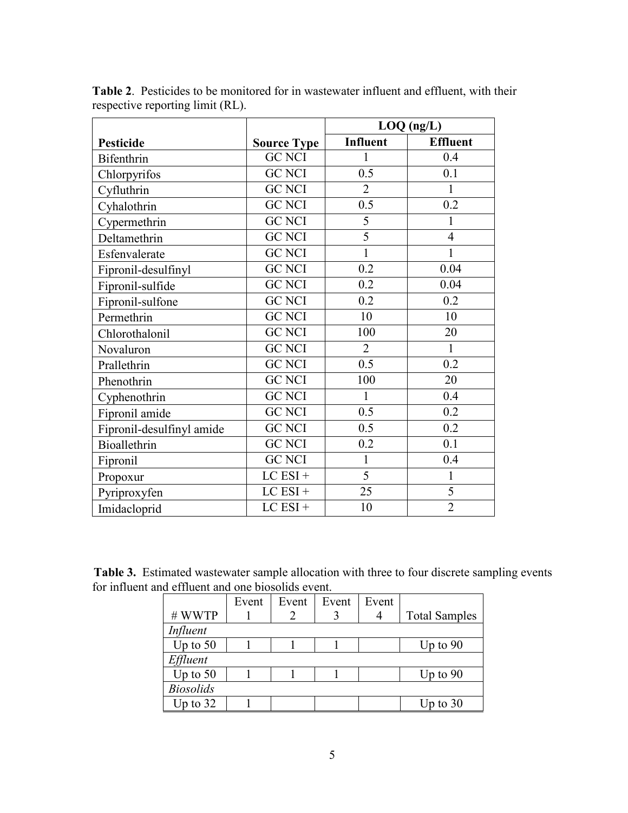|                           |                    | $LOQ$ (ng/L)    |                 |
|---------------------------|--------------------|-----------------|-----------------|
| <b>Pesticide</b>          | <b>Source Type</b> | <b>Influent</b> | <b>Effluent</b> |
| Bifenthrin                | <b>GC NCI</b>      | 1               | 0.4             |
| Chlorpyrifos              | <b>GC NCI</b>      | 0.5             | 0.1             |
| Cyfluthrin                | <b>GC NCI</b>      | $\overline{2}$  | 1               |
| Cyhalothrin               | <b>GC NCI</b>      | 0.5             | 0.2             |
| Cypermethrin              | <b>GC NCI</b>      | $\overline{5}$  | 1               |
| Deltamethrin              | <b>GC NCI</b>      | $\overline{5}$  | $\overline{4}$  |
| Esfenvalerate             | <b>GC NCI</b>      | $\mathbf{1}$    | 1               |
| Fipronil-desulfinyl       | <b>GC NCI</b>      | 0.2             | 0.04            |
| Fipronil-sulfide          | <b>GC NCI</b>      | 0.2             | 0.04            |
| Fipronil-sulfone          | <b>GC NCI</b>      | 0.2             | 0.2             |
| Permethrin                | <b>GC NCI</b>      | 10              | 10              |
| Chlorothalonil            | <b>GC NCI</b>      | 100             | 20              |
| Novaluron                 | <b>GC NCI</b>      | $\overline{2}$  | $\mathbf{1}$    |
| Prallethrin               | <b>GC NCI</b>      | 0.5             | 0.2             |
| Phenothrin                | <b>GC NCI</b>      | 100             | 20              |
| Cyphenothrin              | <b>GC NCI</b>      | $\mathbf{1}$    | 0.4             |
| Fipronil amide            | <b>GC NCI</b>      | 0.5             | 0.2             |
| Fipronil-desulfinyl amide | <b>GC NCI</b>      | 0.5             | 0.2             |
| Bioallethrin              | <b>GC NCI</b>      | 0.2             | 0.1             |
| Fipronil                  | <b>GC NCI</b>      | $\mathbf{1}$    | 0.4             |
| Propoxur                  | $LC$ $ESI +$       | $\overline{5}$  | $\mathbf{1}$    |
| Pyriproxyfen              | $LC$ $ESI +$       | 25              | $\overline{5}$  |
| Imidacloprid              | $LC$ $ESI +$       | 10              | $\overline{2}$  |

**Table 2**. Pesticides to be monitored for in wastewater influent and effluent, with their respective reporting limit (RL).

**Table 3.** Estimated wastewater sample allocation with three to four discrete sampling events for influent and effluent and one biosolids event.

|                  | Event | Event | Event | Event |                      |
|------------------|-------|-------|-------|-------|----------------------|
| #WWTP            |       |       |       |       | <b>Total Samples</b> |
| Influent         |       |       |       |       |                      |
| Up to $50$       |       |       |       |       | Up to $90$           |
| Effluent         |       |       |       |       |                      |
| Up to $50$       |       |       |       |       | Up to $90$           |
| <b>Biosolids</b> |       |       |       |       |                      |
| Up to $32$       |       |       |       |       | Up to $30$           |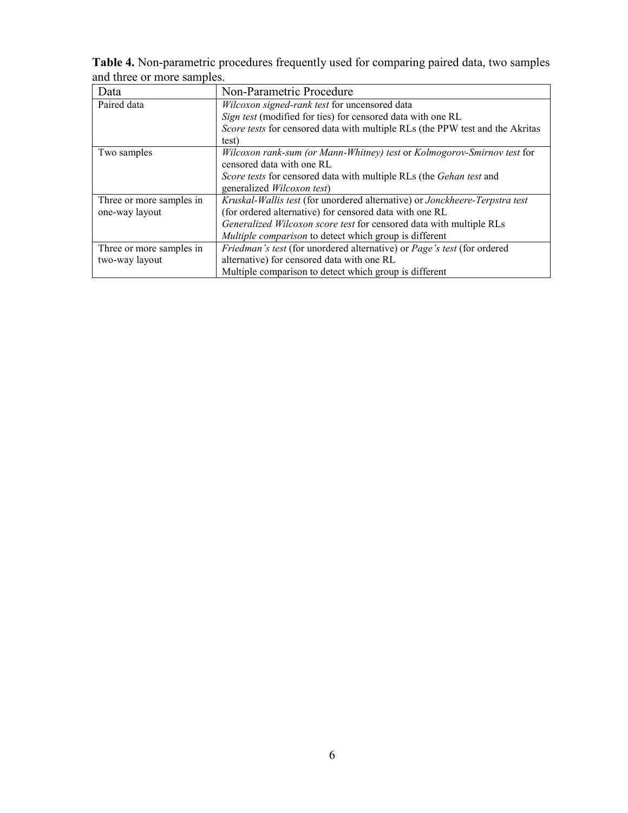**Table 4.** Non-parametric procedures frequently used for comparing paired data, two samples and three or more samples.

| Data                     | Non-Parametric Procedure                                                          |  |  |
|--------------------------|-----------------------------------------------------------------------------------|--|--|
| Paired data              | Wilcoxon signed-rank test for uncensored data                                     |  |  |
|                          | Sign test (modified for ties) for censored data with one RL                       |  |  |
|                          | Score tests for censored data with multiple RLs (the PPW test and the Akritas     |  |  |
|                          | test)                                                                             |  |  |
| Two samples              | Wilcoxon rank-sum (or Mann-Whitney) test or Kolmogorov-Smirnov test for           |  |  |
|                          | censored data with one RL                                                         |  |  |
|                          | <i>Score tests</i> for censored data with multiple RLs (the <i>Gehan test</i> and |  |  |
|                          | generalized <i>Wilcoxon test</i> )                                                |  |  |
| Three or more samples in | Kruskal-Wallis test (for unordered alternative) or Jonckheere-Terpstra test       |  |  |
| one-way layout           | (for ordered alternative) for censored data with one RL                           |  |  |
|                          | Generalized Wilcoxon score test for censored data with multiple RLs               |  |  |
|                          | Multiple comparison to detect which group is different                            |  |  |
| Three or more samples in | Friedman's test (for unordered alternative) or Page's test (for ordered           |  |  |
| two-way layout           | alternative) for censored data with one RL                                        |  |  |
|                          | Multiple comparison to detect which group is different                            |  |  |